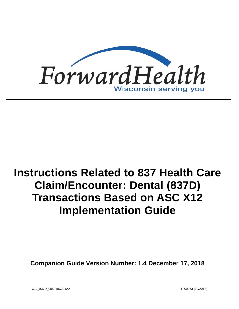

# **Instructions Related to 837 Health Care Claim/Encounter: Dental (837D) Transactions Based on ASC X12 Implementation Guide**

**Companion Guide Version Number: 1.4 December 17, 2018**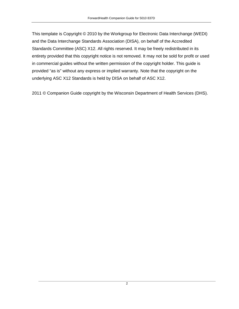This template is Copyright © 2010 by the Workgroup for Electronic Data Interchange (WEDI) and the Data Interchange Standards Association (DISA), on behalf of the Accredited Standards Committee (ASC) X12. All rights reserved. It may be freely redistributed in its entirety provided that this copyright notice is not removed. It may not be sold for profit or used in commercial guides without the written permission of the copyright holder. This guide is provided "as is" without any express or implied warranty. Note that the copyright on the underlying ASC X12 Standards is held by DISA on behalf of ASC X12.

2011 © Companion Guide copyright by the Wisconsin Department of Health Services (DHS).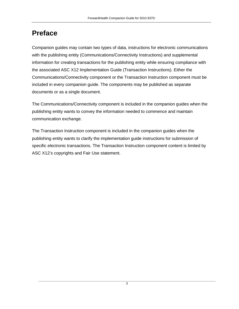# **Preface**

Companion guides may contain two types of data, instructions for electronic communications with the publishing entity (Communications/Connectivity Instructions) and supplemental information for creating transactions for the publishing entity while ensuring compliance with the associated ASC X12 Implementation Guide (Transaction Instructions). Either the Communications/Connectivity component or the Transaction Instruction component must be included in every companion guide. The components may be published as separate documents or as a single document.

The Communications/Connectivity component is included in the companion guides when the publishing entity wants to convey the information needed to commence and maintain communication exchange.

The Transaction Instruction component is included in the companion guides when the publishing entity wants to clarify the implementation guide instructions for submission of specific electronic transactions. The Transaction Instruction component content is limited by ASC X12's copyrights and Fair Use statement.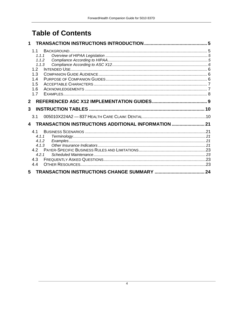# **Table of Contents**

| $\mathbf 1$                            |                                                     |  |
|----------------------------------------|-----------------------------------------------------|--|
| 1.1<br>1.2<br>1.3<br>1.4<br>1.5<br>1.6 | 1.1.1<br>1.1.2<br>1.1.3                             |  |
| 1.7<br>$\overline{2}$                  |                                                     |  |
| 3                                      |                                                     |  |
| 3.1                                    |                                                     |  |
| 4                                      | TRANSACTION INSTRUCTIONS ADDITIONAL INFORMATION  21 |  |
| 4.1<br>4.3<br>4.4                      | 4.1.1<br>4.1.2<br>4.1.3<br>421                      |  |
| 5                                      |                                                     |  |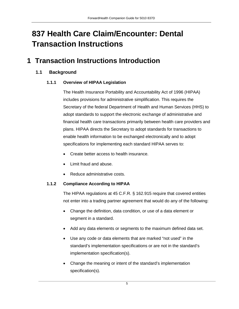# **837 Health Care Claim/Encounter: Dental Transaction Instructions**

### <span id="page-4-1"></span><span id="page-4-0"></span>**1 Transaction Instructions Introduction**

### <span id="page-4-2"></span>**1.1 Background**

#### **1.1.1 Overview of HIPAA Legislation**

The Health Insurance Portability and Accountability Act of 1996 (HIPAA) includes provisions for administrative simplification. This requires the Secretary of the federal Department of Health and Human Services (HHS) to adopt standards to support the electronic exchange of administrative and financial health care transactions primarily between health care providers and plans. HIPAA directs the Secretary to adopt standards for transactions to enable health information to be exchanged electronically and to adopt specifications for implementing each standard HIPAA serves to:

- Create better access to health insurance.
- Limit fraud and abuse.
- Reduce administrative costs.

#### <span id="page-4-3"></span>**1.1.2 Compliance According to HIPAA**

The HIPAA regulations at 45 C.F.R. § 162.915 require that covered entities not enter into a trading partner agreement that would do any of the following:

- Change the definition, data condition, or use of a data element or segment in a standard.
- Add any data elements or segments to the maximum defined data set.
- Use any code or data elements that are marked "not used" in the standard's implementation specifications or are not in the standard's implementation specification(s).
- Change the meaning or intent of the standard's implementation specification(s).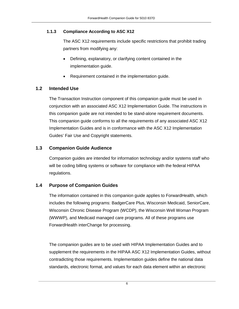#### <span id="page-5-0"></span>**1.1.3 Compliance According to ASC X12**

The ASC X12 requirements include specific restrictions that prohibit trading partners from modifying any:

- Defining, explanatory, or clarifying content contained in the implementation guide.
- Requirement contained in the implementation guide.

#### <span id="page-5-1"></span>**1.2 Intended Use**

The Transaction Instruction component of this companion guide must be used in conjunction with an associated ASC X12 Implementation Guide. The instructions in this companion guide are not intended to be stand-alone requirement documents. This companion guide conforms to all the requirements of any associated ASC X12 Implementation Guides and is in conformance with the ASC X12 Implementation Guides' Fair Use and Copyright statements.

#### <span id="page-5-2"></span>**1.3 Companion Guide Audience**

Companion guides are intended for information technology and/or systems staff who will be coding billing systems or software for compliance with the federal HIPAA regulations.

#### <span id="page-5-3"></span>**1.4 Purpose of Companion Guides**

The information contained in this companion guide applies to ForwardHealth, which includes the following programs: BadgerCare Plus, Wisconsin Medicaid, SeniorCare, Wisconsin Chronic Disease Program (WCDP), the Wisconsin Well Woman Program (WWWP), and Medicaid managed care programs. All of these programs use ForwardHealth interChange for processing.

The companion guides are to be used with HIPAA Implementation Guides and to supplement the requirements in the HIPAA ASC X12 Implementation Guides, without contradicting those requirements. Implementation guides define the national data standards, electronic format, and values for each data element within an electronic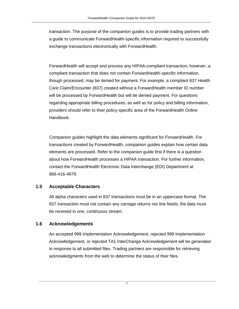transaction. The purpose of the companion guides is to provide trading partners with a guide to communicate ForwardHealth-specific information required to successfully exchange transactions electronically with ForwardHealth.

ForwardHealth will accept and process any HIPAA-compliant transaction; however, a compliant transaction that does not contain ForwardHealth-specific information, though processed, may be denied for payment. For example, a compliant 837 Health Care Claim/Encounter (837) created without a ForwardHealth member ID number will be processed by ForwardHealth but will be denied payment. For questions regarding appropriate billing procedures, as well as for policy and billing information, providers should refer to their policy-specific area of the ForwardHealth Online Handbook.

Companion guides highlight the data elements significant for ForwardHealth. For transactions created by ForwardHealth, companion guides explain how certain data elements are processed. Refer to the companion guide first if there is a question about how ForwardHealth processes a HIPAA transaction. For further information, contact the ForwardHealth Electronic Data Interchange (EDI) Department at 866-416-4979.

### <span id="page-6-0"></span>**1.5 Acceptable Characters**

All alpha characters used in 837 transactions must be in an uppercase format. The 837 transaction must not contain any carriage returns nor line feeds; the data must be received in one, continuous stream.

### <span id="page-6-1"></span>**1.6 Acknowledgements**

An accepted 999 Implementation Acknowledgement, rejected 999 Implementation Acknowledgement, or rejected TA1 InterChange Acknowledgement will be generated in response to all submitted files. Trading partners are responsible for retrieving acknowledgments from the web to determine the status of their files.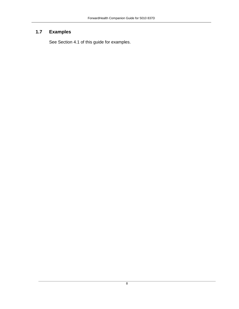### <span id="page-7-0"></span>**1.7 Examples**

See Section 4.1 of this guide for examples.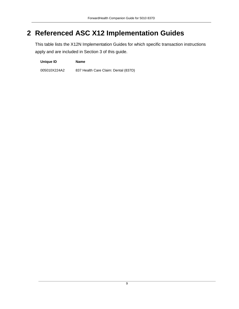# <span id="page-8-0"></span>**2 Referenced ASC X12 Implementation Guides**

This table lists the X12N Implementation Guides for which specific transaction instructions apply and are included in Section 3 of this guide.

**Unique ID Name**

005010X224A2 837 Health Care Claim: Dental (837D)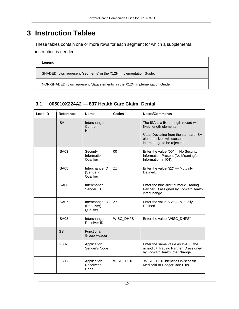# <span id="page-9-0"></span>**3 Instruction Tables**

These tables contain one or more rows for each segment for which a supplemental instruction is needed.

#### **Legend**

SHADED rows represent "segments" in the X12N Implementation Guide.

NON-SHADED rows represent "data elements" in the X12N Implementation Guide.

| Loop ID | Reference    | <b>Name</b>                               | Codes     | <b>Notes/Comments</b>                                                                                                                                                   |
|---------|--------------|-------------------------------------------|-----------|-------------------------------------------------------------------------------------------------------------------------------------------------------------------------|
|         | <b>ISA</b>   | Interchange<br>Control<br>Header          |           | The ISA is a fixed-length record with<br>fixed-length elements.<br>Note: Deviating from the standard ISA<br>element sizes will cause the<br>interchange to be rejected. |
|         | <b>ISA03</b> | Security<br>Information<br>Qualifier      | $00\,$    | Enter the value "00" - No Security<br>Information Present (No Meaningful<br>Information in I04).                                                                        |
|         | <b>ISA05</b> | Interchange ID<br>(Sender)<br>Qualifier   | ZZ        | Enter the value "ZZ" - Mutually<br>Defined.                                                                                                                             |
|         | <b>ISA06</b> | Interchange<br>Sender ID                  |           | Enter the nine-digit numeric Trading<br>Partner ID assigned by ForwardHealth<br>interChange.                                                                            |
|         | ISA07        | Interchange ID<br>(Receiver)<br>Qualifier | ΖZ        | Enter the value "ZZ" - Mutually<br>Defined.                                                                                                                             |
|         | <b>ISA08</b> | Interchange<br>Receiver ID                | WISC_DHFS | Enter the value "WISC_DHFS".                                                                                                                                            |
|         | GS           | Functional<br>Group Header                |           |                                                                                                                                                                         |
|         | GS02         | Application<br>Sender's Code              |           | Enter the same value as ISA06, the<br>nine-digit Trading Partner ID assigned<br>by ForwardHealth interChange.                                                           |
|         | GS03         | Application<br>Receiver's<br>Code         | WISC_TXIX | "WISC TXIX" identifies Wisconsin<br>Medicaid or BadgerCare Plus.                                                                                                        |

### <span id="page-9-1"></span>**3.1 005010X224A2 — 837 Health Care Claim: Dental**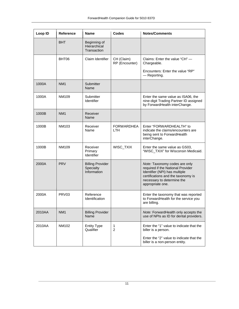| Loop ID | <b>Reference</b>  | <b>Name</b>                                         | Codes                           | <b>Notes/Comments</b>                                                                                                                                                                       |
|---------|-------------------|-----------------------------------------------------|---------------------------------|---------------------------------------------------------------------------------------------------------------------------------------------------------------------------------------------|
|         | <b>BHT</b>        | Beginning of<br>Hierarchical<br>Transaction         |                                 |                                                                                                                                                                                             |
|         | BHT06             | Claim Identifier                                    | CH (Claim)<br>RP (Encounter)    | Claims: Enter the value "CH" —<br>Chargeable.                                                                                                                                               |
|         |                   |                                                     |                                 | Encounters: Enter the value "RP"<br>- Reporting.                                                                                                                                            |
| 1000A   | NM <sub>1</sub>   | Submitter<br>Name                                   |                                 |                                                                                                                                                                                             |
| 1000A   | <b>NM109</b>      | Submitter<br>Identifier                             |                                 | Enter the same value as ISA06, the<br>nine-digit Trading Partner ID assigned<br>by ForwardHealth interChange.                                                                               |
| 1000B   | NM <sub>1</sub>   | Receiver<br>Name                                    |                                 |                                                                                                                                                                                             |
| 1000B   | NM103             | Receiver<br>Name                                    | <b>FORWARDHEA</b><br><b>LTH</b> | Enter "FORWARDHEALTH" to<br>indicate the claims/encounters are<br>being sent to ForwardHealth<br>interChange.                                                                               |
| 1000B   | NM109             | Receiver<br>Primary<br>Identifier                   | WISC_TXIX                       | Enter the same value as GS03,<br>"WISC_TXIX" for Wisconsin Medicaid.                                                                                                                        |
| 2000A   | <b>PRV</b>        | <b>Billing Provider</b><br>Specialty<br>Information |                                 | Note: Taxonomy codes are only<br>required if the National Provider<br>Identifier (NPI) has multiple<br>certifications and the taxonomy is<br>necessary to determine the<br>appropriate one. |
| 2000A   | PRV <sub>03</sub> | Reference<br>Identification                         |                                 | Enter the taxonomy that was reported<br>to ForwardHealth for the service you<br>are billing.                                                                                                |
| 2010AA  | NM <sub>1</sub>   | <b>Billing Provider</b><br>Name                     |                                 | Note: ForwardHealth only accepts the<br>use of NPIs as ID for dental providers.                                                                                                             |
| 2010AA  | NM102             | <b>Entity Type</b><br>Qualifier                     | 1<br>$\overline{2}$             | Enter the "1" value to indicate that the<br>biller is a person.                                                                                                                             |
|         |                   |                                                     |                                 | Enter the "2" value to indicate that the<br>biller is a non-person entity.                                                                                                                  |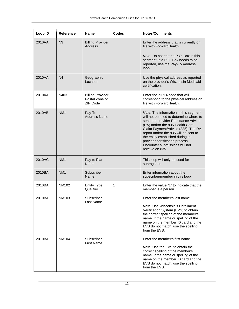| Loop ID | <b>Reference</b> | <b>Name</b>                                           | <b>Codes</b> | <b>Notes/Comments</b>                                                                                                                                                                                                                                                                                                                                                 |
|---------|------------------|-------------------------------------------------------|--------------|-----------------------------------------------------------------------------------------------------------------------------------------------------------------------------------------------------------------------------------------------------------------------------------------------------------------------------------------------------------------------|
| 2010AA  | N <sub>3</sub>   | <b>Billing Provider</b><br>Address                    |              | Enter the address that is currently on<br>file with ForwardHealth.<br>Note: Do not enter a P.O. Box in this<br>segment. If a P.O. Box needs to be                                                                                                                                                                                                                     |
|         |                  |                                                       |              | reported, use the Pay-To Address<br>loop.                                                                                                                                                                                                                                                                                                                             |
| 2010AA  | N4               | Geographic<br>Location                                |              | Use the physical address as reported<br>on the provider's Wisconsin Medicaid<br>certification.                                                                                                                                                                                                                                                                        |
| 2010AA  | N403             | <b>Billing Provider</b><br>Postal Zone or<br>ZIP Code |              | Enter the ZIP+4 code that will<br>correspond to the physical address on<br>file with ForwardHealth.                                                                                                                                                                                                                                                                   |
| 2010AB  | NM <sub>1</sub>  | Pay-To<br><b>Address Name</b>                         |              | Note: The information in this segment<br>will not be used to determine where to<br>send the provider Remittance Advice<br>(RA) and/or the 835 Health Care<br>Claim Payment/Advice (835). The RA<br>report and/or the 835 will be sent to<br>the entity established during the<br>provider certification process.<br>Encounter submissions will not<br>receive an 835. |
| 2010AC  | NM <sub>1</sub>  | Pay-to Plan<br>Name                                   |              | This loop will only be used for<br>subrogation.                                                                                                                                                                                                                                                                                                                       |
| 2010BA  | NM <sub>1</sub>  | Subscriber<br>Name                                    |              | Enter information about the<br>subscriber/member in this loop.                                                                                                                                                                                                                                                                                                        |
| 2010BA  | NM102            | <b>Entity Type</b><br>Qualifier                       | 1            | Enter the value "1" to indicate that the<br>member is a person.                                                                                                                                                                                                                                                                                                       |
| 2010BA  | NM103            | Subscriber<br>Last Name                               |              | Enter the member's last name.<br>Note: Use Wisconsin's Enrollment<br>Verification System (EVS) to obtain<br>the correct spelling of the member's<br>name. If the name or spelling of the<br>name on the member ID card and the<br>EVS do not match, use the spelling<br>from the EVS.                                                                                 |
| 2010BA  | <b>NM104</b>     | Subscriber<br>First Name                              |              | Enter the member's first name.<br>Note: Use the EVS to obtain the<br>correct spelling of the member's<br>name. If the name or spelling of the<br>name on the member ID card and the<br>EVS do not match, use the spelling<br>from the EVS.                                                                                                                            |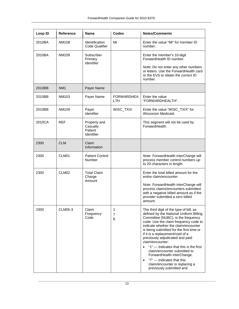| Loop ID | <b>Reference</b>  | <b>Name</b>                                       | <b>Codes</b>              | <b>Notes/Comments</b>                                                                                                                                                                                                                                                                                                                                                                                                                                                                                                                                            |
|---------|-------------------|---------------------------------------------------|---------------------------|------------------------------------------------------------------------------------------------------------------------------------------------------------------------------------------------------------------------------------------------------------------------------------------------------------------------------------------------------------------------------------------------------------------------------------------------------------------------------------------------------------------------------------------------------------------|
| 2010BA  | NM108             | Identification<br>Code Qualifier                  | MI                        | Enter the value "MI" for member ID<br>number.                                                                                                                                                                                                                                                                                                                                                                                                                                                                                                                    |
| 2010BA  | NM109             | Subscriber<br>Primary<br>Identifier               |                           | Enter the member's 10-digit<br>ForwardHealth ID number.                                                                                                                                                                                                                                                                                                                                                                                                                                                                                                          |
|         |                   |                                                   |                           | Note: Do not enter any other numbers<br>or letters. Use the ForwardHealth card<br>or the EVS to obtain the correct ID<br>number.                                                                                                                                                                                                                                                                                                                                                                                                                                 |
| 2010BB  | NM <sub>1</sub>   | Payer Name                                        |                           |                                                                                                                                                                                                                                                                                                                                                                                                                                                                                                                                                                  |
| 2010BB  | NM103             | Payer Name                                        | <b>FORWARDHEA</b><br>LTH. | Enter the value<br>"FORWARDHEALTH".                                                                                                                                                                                                                                                                                                                                                                                                                                                                                                                              |
| 2010BB  | NM109             | Payer<br>Identifier                               | WISC_TXIX                 | Enter the value "WISC_TXIX" for<br>Wisconsin Medicaid.                                                                                                                                                                                                                                                                                                                                                                                                                                                                                                           |
| 2010CA  | <b>REF</b>        | Property and<br>Casualty<br>Patient<br>Identifier |                           | This segment will not be used by<br>ForwardHealth.                                                                                                                                                                                                                                                                                                                                                                                                                                                                                                               |
| 2300    | <b>CLM</b>        | Claim<br>Information                              |                           |                                                                                                                                                                                                                                                                                                                                                                                                                                                                                                                                                                  |
| 2300    | CLM01             | <b>Patient Control</b><br>Number                  |                           | Note: ForwardHealth interChange will<br>process member control numbers up<br>to 20 characters in length.                                                                                                                                                                                                                                                                                                                                                                                                                                                         |
| 2300    | CLM <sub>02</sub> | <b>Total Claim</b><br>Charge<br>Amount            |                           | Enter the total billed amount for the<br>entire claim/encounter.                                                                                                                                                                                                                                                                                                                                                                                                                                                                                                 |
|         |                   |                                                   |                           | Note: ForwardHealth interChange will<br>process claims/encounters submitted<br>with a negative billed amount as if the<br>provider submitted a zero billed<br>amount.                                                                                                                                                                                                                                                                                                                                                                                            |
| 2300    | CLM05-3           | Claim<br>Frequency<br>Code                        | 1<br>7<br>8               | The third digit of the type of bill, as<br>defined by the National Uniform Billing<br>Committee (NUBC), is the frequency<br>code. Use the claim frequency code to<br>indicate whether the claim/encounter<br>is being submitted for the first time or<br>if it is a replacement/void of a<br>previously adjudicated and paid<br>claim/encounter:<br>"1" - Indicates that this is the first<br>claim/encounter submitted to<br>ForwardHealth interChange.<br>"7" - Indicates that this<br>$\bullet$<br>claim/encounter is replacing a<br>previously submitted and |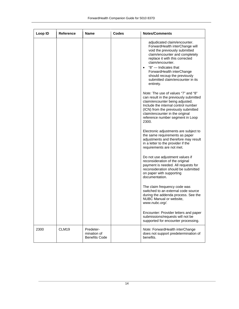| Loop ID | <b>Reference</b>  | <b>Name</b>                                      | <b>Codes</b> | <b>Notes/Comments</b>                                                                                                                                                                                                                                                                                                                      |
|---------|-------------------|--------------------------------------------------|--------------|--------------------------------------------------------------------------------------------------------------------------------------------------------------------------------------------------------------------------------------------------------------------------------------------------------------------------------------------|
|         |                   |                                                  |              | adjudicated claim/encounter.<br>ForwardHealth interChange will<br>void the previously submitted<br>claim/encounter and completely<br>replace it with this corrected<br>claim/encounter.<br>"8" - Indicates that<br>$\bullet$<br>ForwardHealth interChange<br>should recoup the previously<br>submitted claim/encounter in its<br>entirety. |
|         |                   |                                                  |              | Note: The use of values "7" and "8"<br>can result in the previously submitted<br>claim/encounter being adjusted.<br>Include the internal control number<br>(ICN) from the previously submitted<br>claim/encounter in the original<br>reference number segment in Loop<br>2300.                                                             |
|         |                   |                                                  |              | Electronic adjustments are subject to<br>the same requirements as paper<br>adjustments and therefore may result<br>in a letter to the provider if the<br>requirements are not met.                                                                                                                                                         |
|         |                   |                                                  |              | Do not use adjustment values if<br>reconsideration of the original<br>payment is needed. All requests for<br>reconsideration should be submitted<br>on paper with supporting<br>documentation.                                                                                                                                             |
|         |                   |                                                  |              | The claim frequency code was<br>switched to an external code source<br>during the addenda process. See the<br>NUBC Manual or website,<br>www.nubc.org/.                                                                                                                                                                                    |
|         |                   |                                                  |              | Encounter: Provider letters and paper<br>submissions/requests will not be<br>supported for encounter processing.                                                                                                                                                                                                                           |
| 2300    | CLM <sub>19</sub> | Predeter-<br>mination of<br><b>Benefits Code</b> |              | Note: ForwardHealth interChange<br>does not support predetermination of<br>benefits.                                                                                                                                                                                                                                                       |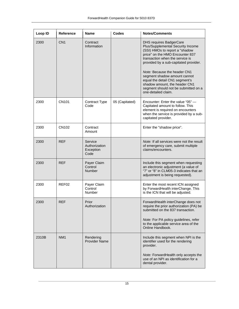| Loop ID | <b>Reference</b>  | Name                                          | <b>Codes</b>   | <b>Notes/Comments</b>                                                                                                                                                                                                                                                                                                                                                                                                  |
|---------|-------------------|-----------------------------------------------|----------------|------------------------------------------------------------------------------------------------------------------------------------------------------------------------------------------------------------------------------------------------------------------------------------------------------------------------------------------------------------------------------------------------------------------------|
| 2300    | CN <sub>1</sub>   | Contract<br>Information                       |                | <b>DHS requires BadgerCare</b><br>Plus/Supplemental Security Income<br>(SSI) HMOs to report a "shadow<br>price" on the HMO Encounter 837<br>transaction when the service is<br>provided by a sub-capitated provider.<br>Note: Because the header CN1<br>segment shadow amount cannot<br>equal the detail CN1 segment's<br>shadow amount, the header CN1<br>segment should not be submitted on a<br>one-detailed claim. |
| 2300    | <b>CN101</b>      | Contract Type<br>Code                         | 05 (Capitated) | Encounter: Enter the value "05" -<br>Capitated amount to follow. This<br>element is required on encounters<br>when the service is provided by a sub-<br>capitated provider.                                                                                                                                                                                                                                            |
| 2300    | CN102             | Contract<br>Amount                            |                | Enter the "shadow price".                                                                                                                                                                                                                                                                                                                                                                                              |
| 2300    | <b>REF</b>        | Service<br>Authorization<br>Exception<br>Code |                | Note: If all services were not the result<br>of emergency care, submit multiple<br>claims/encounters.                                                                                                                                                                                                                                                                                                                  |
| 2300    | <b>REF</b>        | Payer Claim<br>Control<br><b>Number</b>       |                | Include this segment when requesting<br>an electronic adjustment (a value of<br>"7" or "8" in CLM05-3 indicates that an<br>adjustment is being requested).                                                                                                                                                                                                                                                             |
| 2300    | REF <sub>02</sub> | Payer Claim<br>Control<br>Number              |                | Enter the most recent ICN assigned<br>by ForwardHealth interChange. This<br>is the ICN that will be adjusted.                                                                                                                                                                                                                                                                                                          |
| 2300    | <b>REF</b>        | Prior<br>Authorization                        |                | ForwardHealth interChange does not<br>require the prior authorization (PA) be<br>submitted on the 837 transaction.<br>Note: For PA policy guidelines, refer<br>to the applicable service area of the<br>Online Handbook.                                                                                                                                                                                               |
| 2310B   | NM <sub>1</sub>   | Rendering<br><b>Provider Name</b>             |                | Include this segment when NPI is the<br>identifier used for the rendering<br>provider.<br>Note: ForwardHealth only accepts the<br>use of an NPI as identification for a<br>dental provider.                                                                                                                                                                                                                            |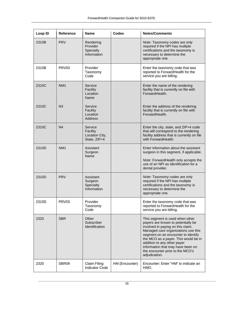| Loop ID | <b>Reference</b>  | <b>Name</b>                                           | <b>Codes</b>   | <b>Notes/Comments</b>                                                                                                                                                                                                                                                                                                                                     |
|---------|-------------------|-------------------------------------------------------|----------------|-----------------------------------------------------------------------------------------------------------------------------------------------------------------------------------------------------------------------------------------------------------------------------------------------------------------------------------------------------------|
| 2310B   | <b>PRV</b>        | Rendering<br>Provider<br>Specialty<br>Information     |                | Note: Taxonomy codes are only<br>required if the NPI has multiple<br>certifications and the taxonomy is<br>necessary to determine the<br>appropriate one.                                                                                                                                                                                                 |
| 2310B   | PRV <sub>03</sub> | Provider<br>Taxonomy<br>Code                          |                | Enter the taxonomy code that was<br>reported to ForwardHealth for the<br>service you are billing.                                                                                                                                                                                                                                                         |
| 2310C   | NM <sub>1</sub>   | Service<br>Facility<br>Location<br>Name               |                | Enter the name of the rendering<br>facility that is currently on file with<br>ForwardHealth.                                                                                                                                                                                                                                                              |
| 2310C   | N <sub>3</sub>    | Service<br>Facility<br>Location<br><b>Address</b>     |                | Enter the address of the rendering<br>facility that is currently on file with<br>ForwardHealth.                                                                                                                                                                                                                                                           |
| 2310C   | N <sub>4</sub>    | Service<br>Facility<br>Location City,<br>State, ZIP+4 |                | Enter the city, state, and ZIP+4 code<br>that will correspond to the rendering<br>facility address that is currently on file<br>with ForwardHealth.                                                                                                                                                                                                       |
| 2310D   | NM <sub>1</sub>   | Assistant<br>Surgeon<br>Name                          |                | Enter information about the assistant<br>surgeon in this segment, if applicable.<br>Note: ForwardHealth only accepts the<br>use of an NPI as identification for a<br>dental provider.                                                                                                                                                                     |
| 2310D   | <b>PRV</b>        | Assistant<br>Surgeon<br>Specialty<br>Information      |                | Note: Taxonomy codes are only<br>required if the NPI has multiple<br>certifications and the taxonomy is<br>necessary to determine the<br>appropriate one.                                                                                                                                                                                                 |
| 2310D   | PRV <sub>03</sub> | Provider<br>Taxonomy<br>Code                          |                | Enter the taxonomy code that was<br>reported to ForwardHealth for the<br>service you are billing.                                                                                                                                                                                                                                                         |
| 2320    | <b>SBR</b>        | Other<br>Subscriber<br>Identification                 |                | This segment is used when other<br>payers are known to potentially be<br>involved in paying on this claim.<br>Managed care organizations use this<br>segment on an encounter to identify<br>the MCO as a payer. This would be in<br>addition to any other payer<br>information that may have been on<br>the encounter prior to the MCO's<br>adjudication. |
| 2320    | SBR09             | Claim Filing<br>Indicator Code                        | HM (Encounter) | Encounter: Enter "HM" to indicate an<br>HMO.                                                                                                                                                                                                                                                                                                              |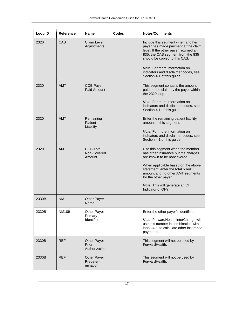| Loop ID | <b>Reference</b> | Name                                         | Codes | <b>Notes/Comments</b>                                                                                                                                                                                                                                                                                 |
|---------|------------------|----------------------------------------------|-------|-------------------------------------------------------------------------------------------------------------------------------------------------------------------------------------------------------------------------------------------------------------------------------------------------------|
| 2320    | CAS              | Claim Level<br>Adjustments                   |       | Include this segment when another<br>payer has made payment at the claim<br>level. If the other payer returned an<br>835, the CAS segment from the 835<br>should be copied to this CAS.<br>Note: For more information on<br>indicators and disclaimer codes, see<br>Section 4.1 of this guide.        |
| 2320    | <b>AMT</b>       | <b>COB Payer</b><br>Paid Amount              |       | This segment contains the amount<br>paid on the claim by the payer within<br>the 2320 loop.<br>Note: For more information on<br>indicators and disclaimer codes, see<br>Section 4.1 of this guide.                                                                                                    |
| 2320    | <b>AMT</b>       | Remaining<br>Patient<br>Liability            |       | Enter the remaining patient liability<br>amount in this segment.<br>Note: For more information on<br>indicators and disclaimer codes, see<br>Section 4.1 of this guide.                                                                                                                               |
| 2320    | <b>AMT</b>       | <b>COB Total</b><br>Non-Covered<br>Amount    |       | Use this segment when the member<br>has other insurance but the charges<br>are known to be noncovered.<br>When applicable based on the above<br>statement, enter the total billed<br>amount and no other AMT segments<br>for the other payer.<br>Note: This will generate an OI<br>Indicator of OI-Y. |
| 2330B   | NM <sub>1</sub>  | <b>Other Payer</b><br>Name                   |       |                                                                                                                                                                                                                                                                                                       |
| 2330B   | NM109            | Other Payer<br>Primary<br>Identifier         |       | Enter the other payer's identifier.<br>Note: ForwardHealth interChange will<br>use this number in combination with<br>loop 2430 to calculate other insurance<br>payments.                                                                                                                             |
| 2330B   | <b>REF</b>       | <b>Other Payer</b><br>Prior<br>Authorization |       | This segment will not be used by<br>ForwardHealth.                                                                                                                                                                                                                                                    |
| 2330B   | <b>REF</b>       | <b>Other Payer</b><br>Predeter-<br>mination  |       | This segment will not be used by<br>ForwardHealth.                                                                                                                                                                                                                                                    |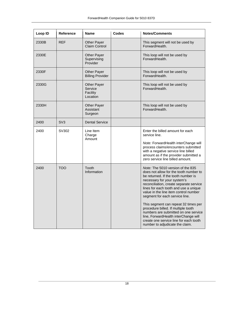| Loop ID | <b>Reference</b> | Name                                           | <b>Codes</b> | <b>Notes/Comments</b>                                                                                                                                                                                                                                                                                                                                                                                                                                                                                                                                        |
|---------|------------------|------------------------------------------------|--------------|--------------------------------------------------------------------------------------------------------------------------------------------------------------------------------------------------------------------------------------------------------------------------------------------------------------------------------------------------------------------------------------------------------------------------------------------------------------------------------------------------------------------------------------------------------------|
| 2330B   | <b>REF</b>       | Other Payer<br>Claim Control                   |              | This segment will not be used by<br>ForwardHealth.                                                                                                                                                                                                                                                                                                                                                                                                                                                                                                           |
| 2330E   |                  | Other Payer<br>Supervising<br>Provider         |              | This loop will not be used by<br>ForwardHealth.                                                                                                                                                                                                                                                                                                                                                                                                                                                                                                              |
| 2330F   |                  | Other Payer<br><b>Billing Provider</b>         |              | This loop will not be used by<br>ForwardHealth.                                                                                                                                                                                                                                                                                                                                                                                                                                                                                                              |
| 2330G   |                  | Other Payer<br>Service<br>Facility<br>Location |              | This loop will not be used by<br>ForwardHealth.                                                                                                                                                                                                                                                                                                                                                                                                                                                                                                              |
| 2330H   |                  | Other Payer<br>Assistant<br>Surgeon            |              | This loop will not be used by<br>ForwardHealth.                                                                                                                                                                                                                                                                                                                                                                                                                                                                                                              |
| 2400    | SV <sub>3</sub>  | <b>Dental Service</b>                          |              |                                                                                                                                                                                                                                                                                                                                                                                                                                                                                                                                                              |
| 2400    | SV302            | Line Item<br>Charge<br>Amount                  |              | Enter the billed amount for each<br>service line.<br>Note: ForwardHealth interChange will<br>process claims/encounters submitted<br>with a negative service line billed<br>amount as if the provider submitted a<br>zero service line billed amount.                                                                                                                                                                                                                                                                                                         |
| 2400    | <b>TOO</b>       | Tooth<br>Information                           |              | Note: The 5010 version of the 835<br>does not allow for the tooth number to<br>be returned. If the tooth number is<br>necessary for your system's<br>reconciliation, create separate service<br>lines for each tooth and use a unique<br>value in the line item control number<br>segment for each service line.<br>This segment can repeat 32 times per<br>procedure billed. If multiple tooth<br>numbers are submitted on one service<br>line, ForwardHealth interChange will<br>create one service line for each tooth<br>number to adjudicate the claim. |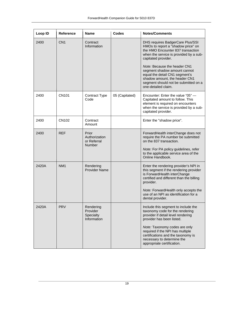| Loop ID | <b>Reference</b>  | <b>Name</b>                                            | Codes          | <b>Notes/Comments</b>                                                                                                                                                                                                                                                                                                                                                          |
|---------|-------------------|--------------------------------------------------------|----------------|--------------------------------------------------------------------------------------------------------------------------------------------------------------------------------------------------------------------------------------------------------------------------------------------------------------------------------------------------------------------------------|
| 2400    | CN <sub>1</sub>   | Contract<br>Information                                |                | DHS requires BadgerCare Plus/SSI<br>HMOs to report a "shadow price" on<br>the HMO Encounter 837 transaction<br>when the service is provided by a sub-<br>capitated provider.<br>Note: Because the header CN1<br>segment shadow amount cannot<br>equal the detail CN1 segment's<br>shadow amount, the header CN1<br>segment should not be submitted on a<br>one-detailed claim. |
| 2400    | CN <sub>101</sub> | Contract Type<br>Code                                  | 05 (Capitated) | Encounter: Enter the value "05" —<br>Capitated amount to follow. This<br>element is required on encounters<br>when the service is provided by a sub-<br>capitated provider.                                                                                                                                                                                                    |
| 2400    | CN102             | Contract<br>Amount                                     |                | Enter the "shadow price".                                                                                                                                                                                                                                                                                                                                                      |
| 2400    | <b>REF</b>        | Prior<br>Authorization<br>or Referral<br><b>Number</b> |                | ForwardHealth interChange does not<br>require the PA number be submitted<br>on the 837 transaction.<br>Note: For PA policy guidelines, refer<br>to the applicable service area of the<br>Online Handbook.                                                                                                                                                                      |
| 2420A   | NM <sub>1</sub>   | Rendering<br><b>Provider Name</b>                      |                | Enter the rendering provider's NPI in<br>this segment if the rendering provider<br>is ForwardHealth interChange<br>certified and different than the billing<br>provider.<br>Note: ForwardHealth only accepts the<br>use of an NPI as identification for a<br>dental provider.                                                                                                  |
| 2420A   | <b>PRV</b>        | Rendering<br>Provider<br>Specialty<br>Information      |                | Include this segment to include the<br>taxonomy code for the rendering<br>provider if detail level rendering<br>provider has been listed.<br>Note: Taxonomy codes are only<br>required if the NPI has multiple<br>certifications and the taxonomy is<br>necessary to determine the<br>appropriate certification.                                                               |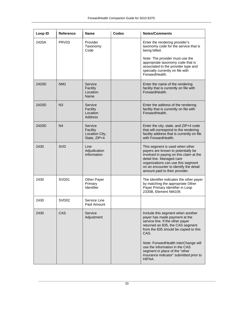| Loop ID | <b>Reference</b>  | <b>Name</b>                                           | <b>Codes</b> | <b>Notes/Comments</b>                                                                                                                                                                                                                                                                                                                                        |
|---------|-------------------|-------------------------------------------------------|--------------|--------------------------------------------------------------------------------------------------------------------------------------------------------------------------------------------------------------------------------------------------------------------------------------------------------------------------------------------------------------|
| 2420A   | PRV <sub>03</sub> | Provider<br>Taxonomy<br>Code                          |              | Enter the rendering provider's<br>taxonomy code for the service that is<br>being billed.                                                                                                                                                                                                                                                                     |
|         |                   |                                                       |              | Note: The provider must use the<br>appropriate taxonomy code that is<br>associated to the provider type and<br>specialty currently on file with<br>ForwardHealth.                                                                                                                                                                                            |
| 2420D   | NM <sub>1</sub>   | Service<br>Facility<br>Location<br>Name               |              | Enter the name of the rendering<br>facility that is currently on file with<br>ForwardHealth.                                                                                                                                                                                                                                                                 |
| 2420D   | N3                | Service<br>Facility<br>Location<br><b>Address</b>     |              | Enter the address of the rendering<br>facility that is currently on file with<br>ForwardHealth.                                                                                                                                                                                                                                                              |
| 2420D   | N <sub>4</sub>    | Service<br>Facility<br>Location City,<br>State, ZIP+4 |              | Enter the city, state, and ZIP+4 code<br>that will correspond to the rendering<br>facility address that is currently on file<br>with ForwardHealth.                                                                                                                                                                                                          |
| 2430    | <b>SVD</b>        | Line<br>Adjudication<br>Information                   |              | This segment is used when other<br>payers are known to potentially be<br>involved in paying on this claim at the<br>detail line. Managed care<br>organizations can use this segment<br>on an encounter to identify the detail<br>amount paid to their provider.                                                                                              |
| 2430    | SVD <sub>01</sub> | <b>Other Payer</b><br>Primary<br>Identifier           |              | The identifier indicates the other payer<br>by matching the appropriate Other<br>Payer Primary Identifier in Loop<br>2330B, Element NM109.                                                                                                                                                                                                                   |
| 2430    | SVD <sub>02</sub> | Service Line<br>Paid Amount                           |              |                                                                                                                                                                                                                                                                                                                                                              |
| 2430    | <b>CAS</b>        | Service<br>Adjustment                                 |              | Include this segment when another<br>payer has made payment at the<br>service line. If the other payer<br>returned an 835, the CAS segment<br>from the 835 should be copied to this<br>CAS.<br>Note: ForwardHealth interChange will<br>use the information in the CAS<br>segment in place of the "other<br>insurance indicator" submitted prior to<br>HIPAA. |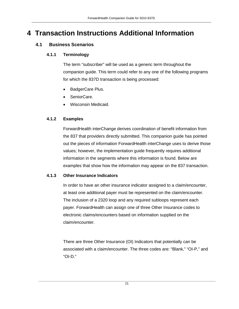# <span id="page-20-1"></span><span id="page-20-0"></span>**4 Transaction Instructions Additional Information**

### <span id="page-20-2"></span>**4.1 Business Scenarios**

#### **4.1.1 Terminology**

The term "subscriber" will be used as a generic term throughout the companion guide. This term could refer to any one of the following programs for which the 837D transaction is being processed:

- BadgerCare Plus.
- SeniorCare.
- Wisconsin Medicaid.

#### <span id="page-20-3"></span>**4.1.2 Examples**

ForwardHealth interChange derives coordination of benefit information from the 837 that providers directly submitted. This companion guide has pointed out the pieces of information ForwardHealth interChange uses to derive those values; however, the implementation guide frequently requires additional information in the segments where this information is found. Below are examples that show how the information may appear on the 837 transaction.

#### <span id="page-20-4"></span>**4.1.3 Other Insurance Indicators**

In order to have an other insurance indicator assigned to a claim/encounter, at least one additional payer must be represented on the claim/encounter. The inclusion of a 2320 loop and any required subloops represent each payer. ForwardHealth can assign one of three Other Insurance codes to electronic claims/encounters based on information supplied on the claim/encounter.

There are three Other Insurance (OI) Indicators that potentially can be associated with a claim/encounter. The three codes are: "Blank," "OI-P," and "OI-D."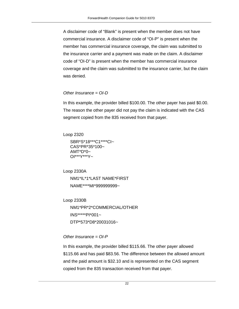A disclaimer code of "Blank" is present when the member does not have commercial insurance. A disclaimer code of "OI-P" is present when the member has commercial insurance coverage, the claim was submitted to the insurance carrier and a payment was made on the claim. A disclaimer code of "OI-D" is present when the member has commercial insurance coverage and the claim was submitted to the insurance carrier, but the claim was denied.

#### *Other Insurance = OI-D*

In this example, the provider billed \$100.00. The other payer has paid \$0.00. The reason the other payer did not pay the claim is indicated with the CAS segment copied from the 835 received from that payer.

```
Loop 2320
```

```
SBR*S*18***C1****CI~
CAS*PR*35*100~
AMT^*D^*0~
OI***Y***Y~
```

```
Loop 2330A
   NM1*IL*1*LAST NAME*FIRST
   NAME****MI*999999999~
```
Loop 2330B

NM1\*PR\*2\*COMMERCIAL/OTHER INS\*\*\*\*\*PI\*001~ DTP\*573\*D8\*20031016~

#### *Other Insurance = OI-P*

In this example, the provider billed \$115.66. The other payer allowed \$115.66 and has paid \$83.56. The difference between the allowed amount and the paid amount is \$32.10 and is represented on the CAS segment copied from the 835 transaction received from that payer.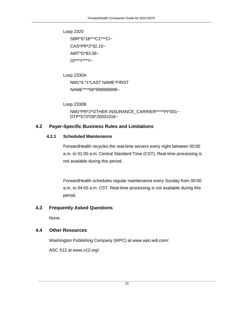Loop 2320 SBR\*S\*18\*\*\*C1\*\*\*CI~ CAS\*PR\*2\*32.10~ AMT\*D\*83.56~ OI\*\*\*Y\*\*\*Y~

Loop 2330A NM1\*IL\*1\*LAST NAME\*FIRST NAME\*\*\*\*MI\*999999999~

Loop 2330B

NM1\*PR\*2\*OTHER INSURANCE\_CARRIER\*\*\*\*\*PI\*001~ DTP\*573\*D8\*20031016~

#### <span id="page-22-1"></span><span id="page-22-0"></span>**4.2 Payer-Specific Business Rules and Limitations**

#### **4.2.1 Scheduled Maintenance**

ForwardHealth recycles the real-time servers every night between 00:00 a.m. to 01:00 a.m. Central Standard Time (CST). Real-time processing is not available during this period.

ForwardHealth schedules regular maintenance every Sunday from 00:00 a.m. to 04:00 a.m. CST. Real-time processing is not available during this period.

#### <span id="page-22-2"></span>**4.3 Frequently Asked Questions**

None.

#### <span id="page-22-3"></span>**4.4 Other Resources**

Washington Publishing Company (WPC) at *www.wpc-edi.com/.*

ASC X12 at *www.x12.org/*.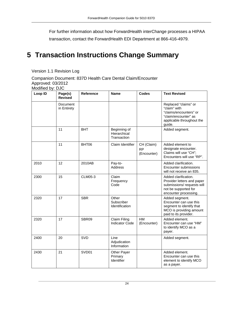For further information about how ForwardHealth interChange processes a HIPAA transaction, contact the ForwardHealth EDI Department at 866-416-4979.

# <span id="page-23-0"></span>**5 Transaction Instructions Change Summary**

#### Version 1.1 Revision Log

Companion Document: 837D Health Care Dental Claim/Encounter Approved: 03/2012 Modified by: DJC

| Loop ID | Page(s)<br><b>Revised</b>      | <b>Reference</b> | <b>Name</b>                                 | <b>Codes</b>                           | <b>Text Revised</b>                                                                                                               |
|---------|--------------------------------|------------------|---------------------------------------------|----------------------------------------|-----------------------------------------------------------------------------------------------------------------------------------|
|         | <b>Document</b><br>in Entirety |                  |                                             |                                        | Replaced "claims" or<br>"claim" with<br>"claims/encounters" or<br>"claim/encounter" as<br>applicable throughout the<br>guide.     |
|         | 11                             | <b>BHT</b>       | Beginning of<br>Hierarchical<br>Transaction |                                        | Added segment.                                                                                                                    |
|         | 11                             | BHT06            | Claim Identifier                            | CH (Claim)<br><b>RP</b><br>(Encounter) | Added element to<br>designate encounter.<br>Claims will use "CH";<br>Encounters will use "RP".                                    |
| 2010    | 12                             | 2010AB           | Pay-to-<br>Address                          |                                        | Added clarification.<br>Encounter submissions<br>will not receive an 835.                                                         |
| 2300    | 15                             | <b>CLM05-3</b>   | Claim<br>Frequency<br>Code                  |                                        | Added clarification.<br>Provider letters and paper<br>submissions/ requests will<br>not be supported for<br>encounter processing. |
| 2320    | 17                             | <b>SBR</b>       | Other<br>Subscriber<br>Identification       |                                        | Added segment.<br>Encounter can use this<br>segment to identify that<br>MCO is providing amount<br>paid to its provider.          |
| 2320    | 17                             | SBR09            | <b>Claim Filing</b><br>Indicator Code       | HM<br>(Encounter)                      | Added element.<br>Encounter can use "HM"<br>to identify MCO as a<br>payer.                                                        |
| 2400    | 20                             | <b>SVD</b>       | Line<br>Adjudication<br>Information         |                                        | Added segment.                                                                                                                    |
| 2430    | 21                             | SVD01            | <b>Other Payer</b><br>Primary<br>Identifier |                                        | Added element.<br>Encounter can use this<br>element to identify MCO<br>as a payer.                                                |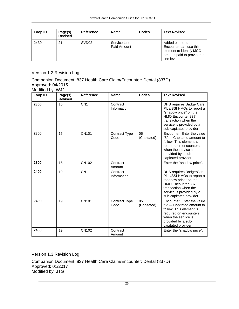| Loop ID | Page(s)<br><b>Revised</b> | Reference         | <b>Name</b>                 | Codes | <b>Text Revised</b>                                                                                              |
|---------|---------------------------|-------------------|-----------------------------|-------|------------------------------------------------------------------------------------------------------------------|
| 2430    | 21                        | SVD <sub>02</sub> | Service Line<br>Paid Amount |       | Added element.<br>Encounter can use this<br>element to identify MCO<br>amount paid to provider at<br>line level. |

Version 1.2 Revision Log

Companion Document: 837 Health Care Claim/Encounter: Dental (837D) Approved: 04/2015 Modified by: WJ2

| Loop ID | Page(s)<br><b>Revised</b> | <b>Reference</b> | <b>Name</b>                  | Codes             | <b>Text Revised</b>                                                                                                                                                                             |
|---------|---------------------------|------------------|------------------------------|-------------------|-------------------------------------------------------------------------------------------------------------------------------------------------------------------------------------------------|
| 2300    | 15                        | CN <sub>1</sub>  | Contract<br>Information      |                   | DHS requires BadgerCare<br>Plus/SSI HMOs to report a<br>"shadow price" on the<br><b>HMO Encounter 837</b><br>transaction when the<br>service is provided by a<br>sub-capitated provider.        |
| 2300    | 15                        | CN101            | Contract Type<br>Code        | 05<br>(Capitated) | Encounter: Enter the value<br>"5" - Capitated amount to<br>follow. This element is<br>required on encounters<br>when the service is<br>provided by a sub-<br>capitated provider.                |
| 2300    | 15                        | CN102            | Contract<br>Amount           |                   | Enter the "shadow price".                                                                                                                                                                       |
| 2400    | 19                        | CN <sub>1</sub>  | Contract<br>Information      |                   | <b>DHS requires BadgerCare</b><br>Plus/SSI HMOs to report a<br>"shadow price" on the<br><b>HMO Encounter 837</b><br>transaction when the<br>service is provided by a<br>sub-capitated provider. |
| 2400    | 19                        | CN101            | <b>Contract Type</b><br>Code | 05<br>(Capitated) | Encounter: Enter the value<br>"5" - Capitated amount to<br>follow. This element is<br>required on encounters<br>when the service is<br>provided by a sub-<br>capitated provider.                |
| 2400    | 19                        | CN102            | Contract<br>Amount           |                   | Enter the "shadow price".                                                                                                                                                                       |

Version 1.3 Revision Log

Companion Document: 837 Health Care Claim/Encounter: Dental (837D) Approved: 01/2017 Modified by: JTG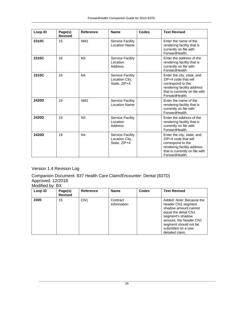| Loop ID | Page(s)<br><b>Revised</b> | <b>Reference</b> | <b>Name</b>                                               | Codes | <b>Text Revised</b>                                                                                                                                       |
|---------|---------------------------|------------------|-----------------------------------------------------------|-------|-----------------------------------------------------------------------------------------------------------------------------------------------------------|
| 2310C   | 15                        | NM <sub>1</sub>  | <b>Service Facility</b><br><b>Location Name</b>           |       | Enter the name of the<br>rendering facility that is<br>currently on file with<br>ForwardHealth.                                                           |
| 2310C   | 16                        | N <sub>3</sub>   | <b>Service Facility</b><br>Location<br>Address            |       | Enter the address of the<br>rendering facility that is<br>currently on file with<br>ForwardHealth.                                                        |
| 2310C   | 16                        | N <sub>4</sub>   | <b>Service Facility</b><br>Location City,<br>State, ZIP+4 |       | Enter the city, state, and<br>ZIP+4 code that will<br>correspond to the<br>rendering facility address<br>that is currently on file with<br>ForwardHealth. |
| 2420D   | 19                        | NM <sub>1</sub>  | Service Facility<br><b>Location Name</b>                  |       | Enter the name of the<br>rendering facility that is<br>currently on file with<br>ForwardHealth.                                                           |
| 2420D   | 19                        | N <sub>3</sub>   | Service Facility<br>Location<br>Address                   |       | Enter the address of the<br>rendering facility that is<br>currently on file with<br>ForwardHealth.                                                        |
| 2420D   | 19                        | N <sub>4</sub>   | Service Facility<br>Location City,<br>State, ZIP+4        |       | Enter the city, state, and<br>ZIP+4 code that will<br>correspond to the<br>rendering facility address<br>that is currently on file with<br>ForwardHealth. |

### Version 1.4 Revision Log

Companion Document: 837 Health Care Claim/Encounter: Dental (837D) Approved: 12/2018

| Modified by: BX |                           |                  |                         |              |                                                                                                                                                                                                                 |  |
|-----------------|---------------------------|------------------|-------------------------|--------------|-----------------------------------------------------------------------------------------------------------------------------------------------------------------------------------------------------------------|--|
| Loop ID         | Page(s)<br><b>Revised</b> | <b>Reference</b> | Name                    | <b>Codes</b> | <b>Text Revised</b>                                                                                                                                                                                             |  |
| 2300            | 15                        | CN <sub>1</sub>  | Contract<br>Information |              | Added: Note: Because the<br>header CN1 segment<br>shadow amount cannot<br>equal the detail CN1<br>segment's shadow<br>amount, the header CN1<br>segment should not be<br>submitted on a one-<br>detailed claim. |  |